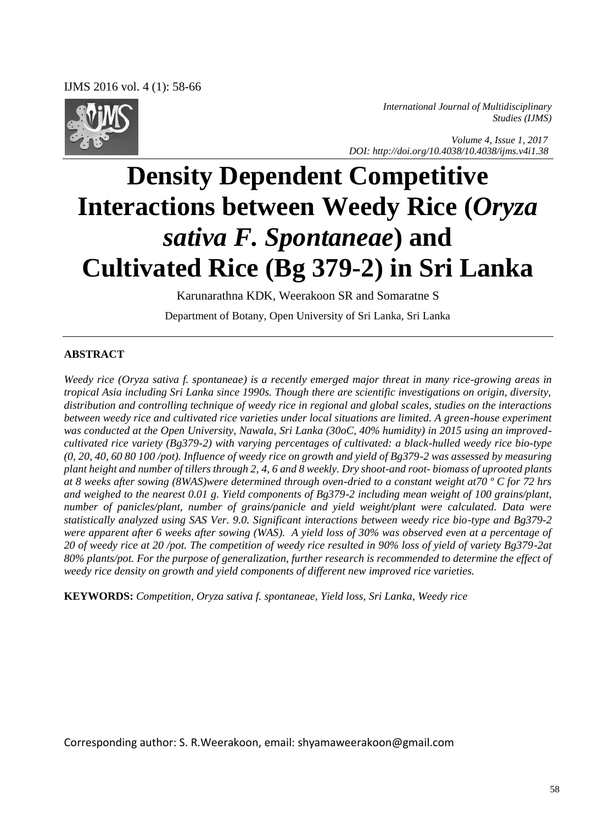

*International Journal of Multidisciplinary Studies (IJMS)* 

 *Volume 4, Issue 1, 2017 DOI: http://doi.org/10.4038/10.4038/ijms.v4i1.38*

# **Density Dependent Competitive Interactions between Weedy Rice (***Oryza sativa F. Spontaneae***) and Cultivated Rice (Bg 379-2) in Sri Lanka**

Karunarathna KDK, Weerakoon SR and Somaratne S

Department of Botany, Open University of Sri Lanka, Sri Lanka

#### **ABSTRACT**

*Weedy rice (Oryza sativa f. spontaneae) is a recently emerged major threat in many rice-growing areas in tropical Asia including Sri Lanka since 1990s. Though there are scientific investigations on origin, diversity, distribution and controlling technique of weedy rice in regional and global scales, studies on the interactions between weedy rice and cultivated rice varieties under local situations are limited. A green-house experiment was conducted at the Open University, Nawala, Sri Lanka (30oC, 40% humidity) in 2015 using an improvedcultivated rice variety (Bg379-2) with varying percentages of cultivated: a black-hulled weedy rice bio-type (0, 20, 40, 60 80 100 /pot). Influence of weedy rice on growth and yield of Bg379-2 was assessed by measuring plant height and number of tillers through 2, 4, 6 and 8 weekly. Dry shoot-and root- biomass of uprooted plants at 8 weeks after sowing (8WAS)were determined through oven-dried to a constant weight at70 º C for 72 hrs and weighed to the nearest 0.01 g. Yield components of Bg379-2 including mean weight of 100 grains/plant, number of panicles/plant, number of grains/panicle and yield weight/plant were calculated. Data were statistically analyzed using SAS Ver. 9.0. Significant interactions between weedy rice bio-type and Bg379-2 were apparent after 6 weeks after sowing (WAS). A yield loss of 30% was observed even at a percentage of 20 of weedy rice at 20 /pot. The competition of weedy rice resulted in 90% loss of yield of variety Bg379-2at 80% plants/pot. For the purpose of generalization, further research is recommended to determine the effect of weedy rice density on growth and yield components of different new improved rice varieties.* 

**KEYWORDS:** *Competition, Oryza sativa f. spontaneae, Yield loss, Sri Lanka, Weedy rice* 

Corresponding author: S. R.Weerakoon, email: shyamaweerakoon@gmail.com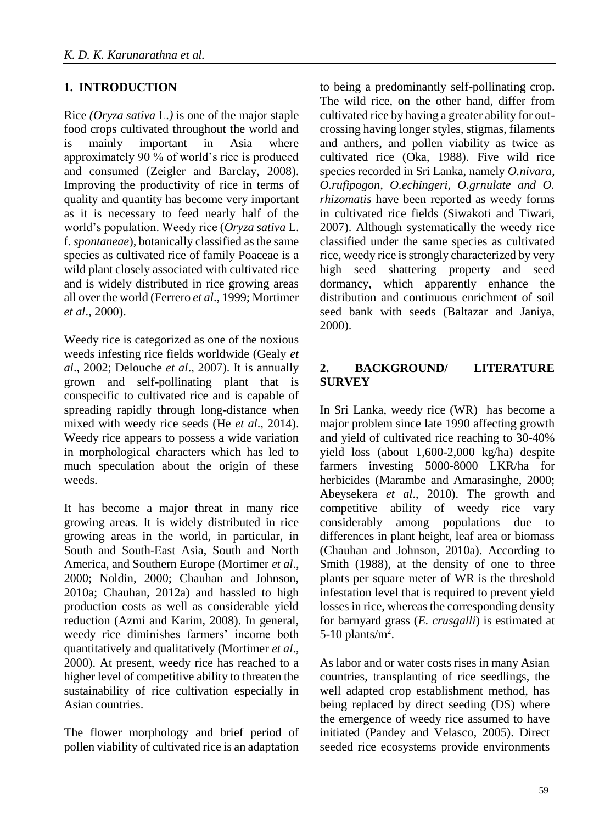# **1. INTRODUCTION**

Rice *(Oryza sativa* L.*)* is one of the major staple food crops cultivated throughout the world and is mainly important in Asia where approximately 90 % of world's rice is produced and consumed (Zeigler and Barclay, 2008). Improving the productivity of rice in terms of quality and quantity has become very important as it is necessary to feed nearly half of the world's population. Weedy rice (*Oryza sativa* L. f*. spontaneae*), botanically classified as the same species as cultivated rice of family Poaceae is a wild plant closely associated with cultivated rice and is widely distributed in rice growing areas all over the world (Ferrero *et al*., 1999; Mortimer *et al*., 2000).

Weedy rice is categorized as one of the noxious weeds infesting rice fields worldwide (Gealy *et al*., 2002; Delouche *et al*., 2007). It is annually grown and self-pollinating plant that is conspecific to cultivated rice and is capable of spreading rapidly through long-distance when mixed with weedy rice seeds (He *et al*., 2014). Weedy rice appears to possess a wide variation in morphological characters which has led to much speculation about the origin of these weeds.

It has become a major threat in many rice growing areas. It is widely distributed in rice growing areas in the world, in particular, in South and South-East Asia, South and North America, and Southern Europe (Mortimer *et al*., 2000; Noldin, 2000; Chauhan and Johnson, 2010a; Chauhan, 2012a) and hassled to high production costs as well as considerable yield reduction (Azmi and Karim, 2008). In general, weedy rice diminishes farmers' income both quantitatively and qualitatively (Mortimer *et al*., 2000). At present, weedy rice has reached to a higher level of competitive ability to threaten the sustainability of rice cultivation especially in Asian countries.

The flower morphology and brief period of pollen viability of cultivated rice is an adaptation to being a predominantly self-pollinating crop. The wild rice, on the other hand, differ from cultivated rice by having a greater ability for outcrossing having longer styles, stigmas, filaments and anthers, and pollen viability as twice as cultivated rice (Oka, 1988). Five wild rice species recorded in Sri Lanka, namely *O.nivara, O.rufipogon, O.echingeri, O.grnulate and O. rhizomatis* have been reported as weedy forms in cultivated rice fields (Siwakoti and Tiwari, 2007). Although systematically the weedy rice classified under the same species as cultivated rice, weedy rice is strongly characterized by very high seed shattering property and seed dormancy, which apparently enhance the distribution and continuous enrichment of soil seed bank with seeds (Baltazar and Janiya, 2000).

# **2. BACKGROUND/ LITERATURE SURVEY**

In Sri Lanka, weedy rice (WR) has become a major problem since late 1990 affecting growth and yield of cultivated rice reaching to 30-40% yield loss (about 1,600-2,000 kg/ha) despite farmers investing 5000-8000 LKR/ha for herbicides (Marambe and Amarasinghe, 2000; Abeysekera *et al*., 2010). The growth and competitive ability of weedy rice vary considerably among populations due to differences in plant height, leaf area or biomass (Chauhan and Johnson, 2010a). According to Smith (1988), at the density of one to three plants per square meter of WR is the threshold infestation level that is required to prevent yield losses in rice, whereas the corresponding density for barnyard grass (*E. crusgalli*) is estimated at 5-10 plants/ $m^2$ .

As labor and or water costs rises in many Asian countries, transplanting of rice seedlings, the well adapted crop establishment method, has being replaced by direct seeding (DS) where the emergence of weedy rice assumed to have initiated (Pandey and Velasco, 2005). Direct seeded rice ecosystems provide environments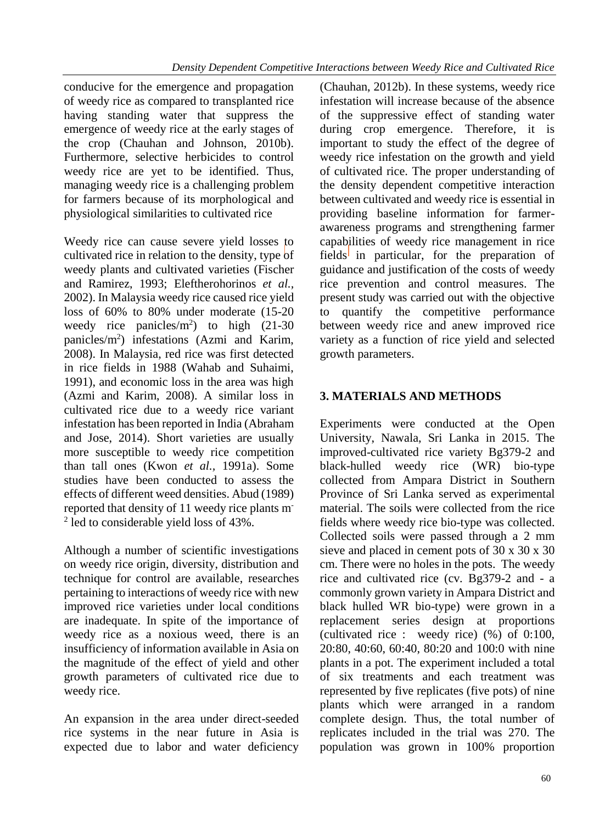conducive for the emergence and propagation of weedy rice as compared to transplanted rice having standing water that suppress the emergence of weedy rice at the early stages of the crop (Chauhan and Johnson, 2010b). Furthermore, selective herbicides to control weedy rice are yet to be identified. Thus, managing weedy rice is a challenging problem for farmers because of its morphological and physiological similarities to cultivated rice

Weedy rice can cause severe yield losses to cultivated rice in relation to the density, type of weedy plants and cultivated varieties (Fischer and Ramirez, 1993; Eleftherohorinos *et al.,*  2002). In Malaysia weedy rice caused rice yield loss of 60% to 80% under moderate (15-20 weedy rice panicles/ $m^2$ ) to high (21-30 panicles/m<sup>2</sup> ) infestations (Azmi and Karim, 2008). In Malaysia, red rice was first detected in rice fields in 1988 (Wahab and Suhaimi, 1991), and economic loss in the area was high (Azmi and Karim, 2008). A similar loss in cultivated rice due to a weedy rice variant infestation has been reported in India (Abraham and Jose, 2014). Short varieties are usually more susceptible to weedy rice competition than tall ones (Kwon *et al.,* 1991a). Some studies have been conducted to assess the effects of different weed densities. Abud (1989) reported that density of 11 weedy rice plants m-<sup>2</sup> led to considerable yield loss of 43%.

Although a number of scientific investigations on weedy rice origin, diversity, distribution and technique for control are available, researches pertaining to interactions of weedy rice with new improved rice varieties under local conditions are inadequate. In spite of the importance of weedy rice as a noxious weed, there is an insufficiency of information available in Asia on the magnitude of the effect of yield and other growth parameters of cultivated rice due to weedy rice.

An expansion in the area under direct-seeded rice systems in the near future in Asia is expected due to labor and water deficiency

(Chauhan, 2012b). In these systems, weedy rice infestation will increase because of the absence of the suppressive effect of standing water during crop emergence. Therefore, it is important to study the effect of the degree of weedy rice infestation on the growth and yield of cultivated rice. The proper understanding of the density dependent competitive interaction between cultivated and weedy rice is essential in providing baseline information for farmerawareness programs and strengthening farmer capabilities of weedy rice management in rice fields in particular, for the preparation of guidance and justification of the costs of weedy rice prevention and control measures. The present study was carried out with the objective to quantify the competitive performance between weedy rice and anew improved rice variety as a function of rice yield and selected growth parameters.

# **3. MATERIALS AND METHODS**

Experiments were conducted at the Open University, Nawala, Sri Lanka in 2015. The improved-cultivated rice variety Bg379-2 and black-hulled weedy rice (WR) bio-type collected from Ampara District in Southern Province of Sri Lanka served as experimental material. The soils were collected from the rice fields where weedy rice bio-type was collected. Collected soils were passed through a 2 mm sieve and placed in cement pots of 30 x 30 x 30 cm. There were no holes in the pots. The weedy rice and cultivated rice (cv. Bg379-2 and - a commonly grown variety in Ampara District and black hulled WR bio-type) were grown in a replacement series design at proportions (cultivated rice : weedy rice) (%) of 0:100, 20:80, 40:60, 60:40, 80:20 and 100:0 with nine plants in a pot. The experiment included a total of six treatments and each treatment was represented by five replicates (five pots) of nine plants which were arranged in a random complete design. Thus, the total number of replicates included in the trial was 270. The population was grown in 100% proportion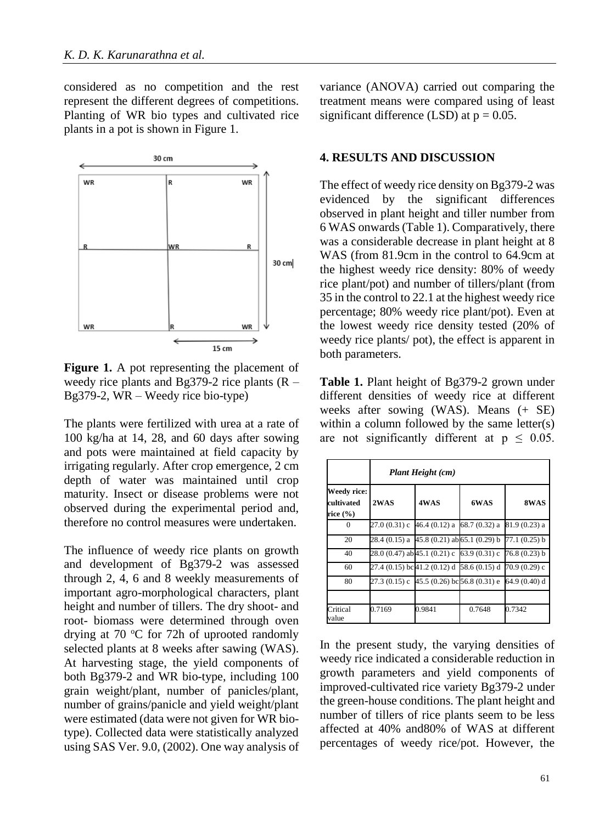considered as no competition and the rest represent the different degrees of competitions. Planting of WR bio types and cultivated rice plants in a pot is shown in Figure 1.



**Figure 1.** A pot representing the placement of weedy rice plants and Bg379-2 rice plants  $(R -$ Bg379-2, WR – Weedy rice bio-type)

The plants were fertilized with urea at a rate of 100 kg/ha at 14, 28, and 60 days after sowing and pots were maintained at field capacity by irrigating regularly. After crop emergence, 2 cm depth of water was maintained until crop maturity. Insect or disease problems were not observed during the experimental period and, therefore no control measures were undertaken.

The influence of weedy rice plants on growth and development of Bg379-2 was assessed through 2, 4, 6 and 8 weekly measurements of important agro-morphological characters, plant height and number of tillers. The dry shoot- and root- biomass were determined through oven drying at 70  $\degree$ C for 72h of uprooted randomly selected plants at 8 weeks after sawing (WAS). At harvesting stage, the yield components of both Bg379-2 and WR bio-type, including 100 grain weight/plant, number of panicles/plant, number of grains/panicle and yield weight/plant were estimated (data were not given for WR biotype). Collected data were statistically analyzed using SAS Ver. 9.0, (2002). One way analysis of variance (ANOVA) carried out comparing the treatment means were compared using of least significant difference (LSD) at  $p = 0.05$ .

#### **4. RESULTS AND DISCUSSION**

The effect of weedy rice density on Bg379-2 was evidenced by the significant differences observed in plant height and tiller number from 6 WAS onwards (Table 1). Comparatively, there was a considerable decrease in plant height at 8 WAS (from 81.9cm in the control to 64.9cm at the highest weedy rice density: 80% of weedy rice plant/pot) and number of tillers/plant (from 35 in the control to 22.1 at the highest weedy rice percentage; 80% weedy rice plant/pot). Even at the lowest weedy rice density tested (20% of weedy rice plants/ pot), the effect is apparent in both parameters.

**Table 1.** Plant height of Bg379-2 grown under different densities of weedy rice at different weeks after sowing (WAS). Means (+ SE) within a column followed by the same letter(s) are not significantly different at  $p \leq 0.05$ .

|                                       | Plant Height (cm)                                         |        |        |                |  |  |
|---------------------------------------|-----------------------------------------------------------|--------|--------|----------------|--|--|
| Weedy rice:<br>cultivated<br>rice (%) | 2WAS                                                      | 4WAS   | 6WAS   | 8WAS           |  |  |
| 0                                     | $27.0(0.31)$ c 46.4 (0.12) a 68.7 (0.32) a                |        |        | 81.9 (0.23) a  |  |  |
| 20                                    | 28.4 (0.15) a 45.8 (0.21) ab 65.1 (0.29) b 77.1 (0.25) b  |        |        |                |  |  |
| 40                                    | 28.0 (0.47) ab 45.1 (0.21) c 63.9 (0.31) c                |        |        | $76.8(0.23)$ b |  |  |
| 60                                    | 27.4 (0.15) bc41.2 (0.12) d 58.6 (0.15) d 70.9 (0.29) c   |        |        |                |  |  |
| 80                                    | $27.3(0.15)$ c 45.5 (0.26) bc 56.8 (0.31) e 64.9 (0.40) d |        |        |                |  |  |
| Critical<br>value                     | 0.7169                                                    | 0.9841 | 0.7648 | 0.7342         |  |  |

In the present study, the varying densities of weedy rice indicated a considerable reduction in growth parameters and yield components of improved-cultivated rice variety Bg379-2 under the green-house conditions. The plant height and number of tillers of rice plants seem to be less affected at 40% and80% of WAS at different percentages of weedy rice/pot. However, the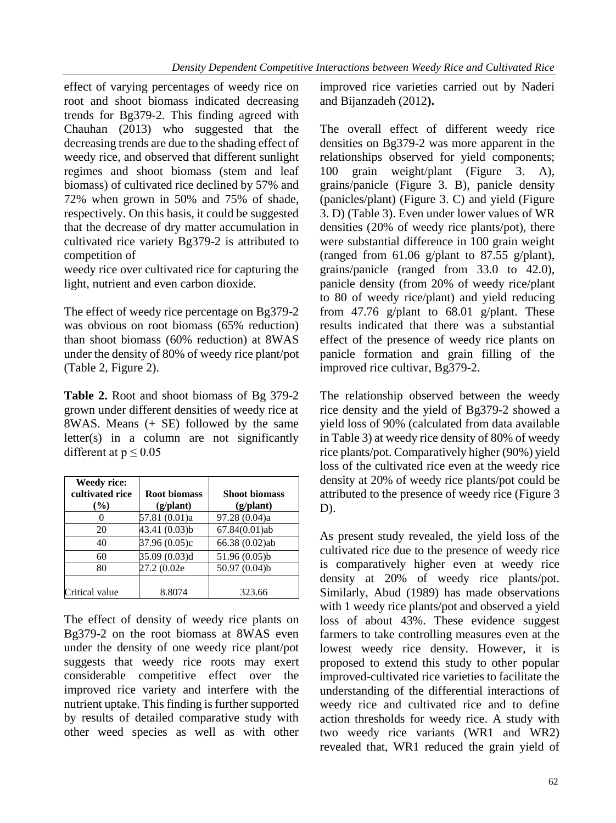effect of varying percentages of weedy rice on root and shoot biomass indicated decreasing trends for Bg379-2. This finding agreed with Chauhan (2013) who suggested that the decreasing trends are due to the shading effect of weedy rice, and observed that different sunlight regimes and shoot biomass (stem and leaf biomass) of cultivated rice declined by 57% and 72% when grown in 50% and 75% of shade, respectively. On this basis, it could be suggested that the decrease of dry matter accumulation in cultivated rice variety Bg379-2 is attributed to competition of

weedy rice over cultivated rice for capturing the light, nutrient and even carbon dioxide.

The effect of weedy rice percentage on Bg379-2 was obvious on root biomass (65% reduction) than shoot biomass (60% reduction) at 8WAS under the density of 80% of weedy rice plant/pot (Table 2, Figure 2).

**Table 2.** Root and shoot biomass of Bg 379-2 grown under different densities of weedy rice at 8WAS. Means (+ SE) followed by the same letter(s) in a column are not significantly different at  $p \leq 0.05$ 

| <b>Weedy rice:</b><br>cultivated rice<br>$($ %) | <b>Root biomass</b><br>$(g/\text{plant})$ | <b>Shoot biomass</b><br>$(g/\text{plant})$ |
|-------------------------------------------------|-------------------------------------------|--------------------------------------------|
|                                                 | 57.81 (0.01)a                             | 97.28 (0.04)a                              |
| 20                                              | 43.41 (0.03)b                             | 67.84(0.01)ab                              |
| 40                                              | 37.96 (0.05)c                             | 66.38 (0.02)ab                             |
| 60                                              | 35.09 (0.03)d                             | 51.96 (0.05)b                              |
| 80                                              | 27.2 (0.02e                               | 50.97 (0.04)b                              |
| Critical value                                  | 8.8074                                    | 323.66                                     |

The effect of density of weedy rice plants on Bg379-2 on the root biomass at 8WAS even under the density of one weedy rice plant/pot suggests that weedy rice roots may exert considerable competitive effect over the improved rice variety and interfere with the nutrient uptake. This finding is further supported by results of detailed comparative study with other weed species as well as with other

improved rice varieties carried out by Naderi and Bijanzadeh (2012**).**

The overall effect of different weedy rice densities on Bg379-2 was more apparent in the relationships observed for yield components; 100 grain weight/plant (Figure 3. A), grains/panicle (Figure 3. B), panicle density (panicles/plant) (Figure 3. C) and yield (Figure 3. D) (Table 3). Even under lower values of WR densities (20% of weedy rice plants/pot), there were substantial difference in 100 grain weight (ranged from  $61.06$  g/plant to  $87.55$  g/plant), grains/panicle (ranged from 33.0 to 42.0), panicle density (from 20% of weedy rice/plant to 80 of weedy rice/plant) and yield reducing from 47.76 g/plant to  $68.01$  g/plant. These results indicated that there was a substantial effect of the presence of weedy rice plants on panicle formation and grain filling of the improved rice cultivar, Bg379-2.

The relationship observed between the weedy rice density and the yield of Bg379-2 showed a yield loss of 90% (calculated from data available in Table 3) at weedy rice density of 80% of weedy rice plants/pot. Comparatively higher (90%) yield loss of the cultivated rice even at the weedy rice density at 20% of weedy rice plants/pot could be attributed to the presence of weedy rice (Figure 3 D).

As present study revealed, the yield loss of the cultivated rice due to the presence of weedy rice is comparatively higher even at weedy rice density at 20% of weedy rice plants/pot. Similarly, Abud (1989) has made observations with 1 weedy rice plants/pot and observed a yield loss of about 43%. These evidence suggest farmers to take controlling measures even at the lowest weedy rice density. However, it is proposed to extend this study to other popular improved-cultivated rice varieties to facilitate the understanding of the differential interactions of weedy rice and cultivated rice and to define action thresholds for weedy rice. A study with two weedy rice variants (WR1 and WR2) revealed that, WR1 reduced the grain yield of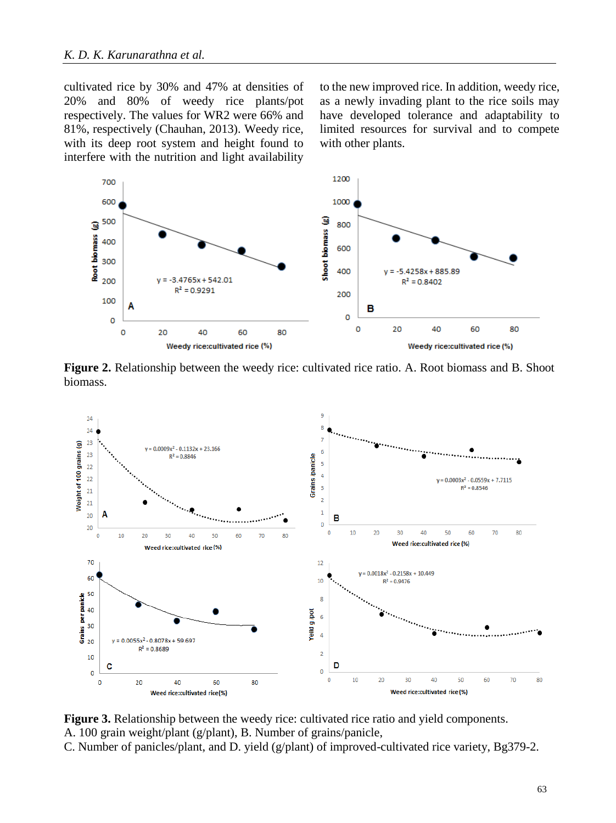cultivated rice by 30% and 47% at densities of 20% and 80% of weedy rice plants/pot respectively. The values for WR2 were 66% and 81%, respectively (Chauhan, 2013). Weedy rice, with its deep root system and height found to interfere with the nutrition and light availability to the new improved rice. In addition, weedy rice, as a newly invading plant to the rice soils may have developed tolerance and adaptability to limited resources for survival and to compete with other plants.



**Figure 2.** Relationship between the weedy rice: cultivated rice ratio. A. Root biomass and B. Shoot biomass.



**Figure 3.** Relationship between the weedy rice: cultivated rice ratio and yield components. A. 100 grain weight/plant (g/plant), B. Number of grains/panicle,

C. Number of panicles/plant, and D. yield (g/plant) of improved-cultivated rice variety, Bg379-2.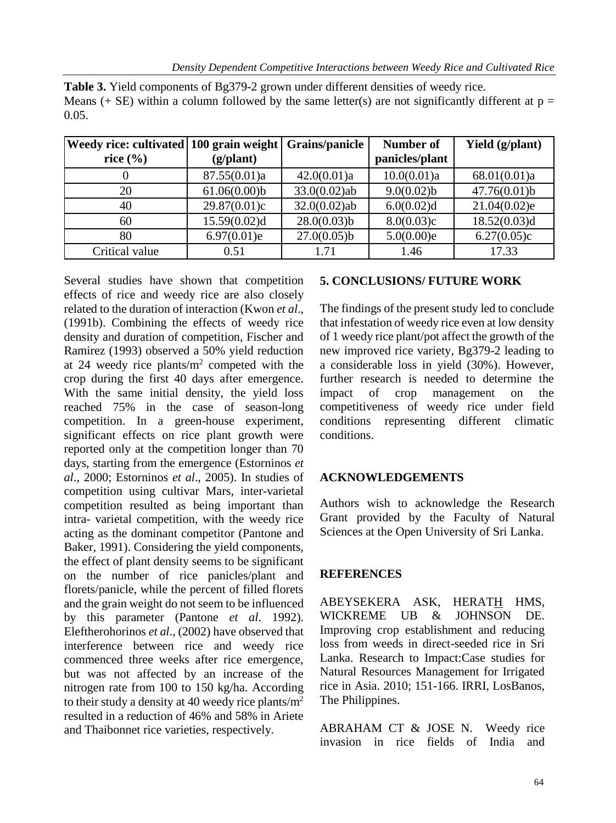| $v \cdot v \cdot$                                                        |                    |                 |                             |                 |
|--------------------------------------------------------------------------|--------------------|-----------------|-----------------------------|-----------------|
| Weedy rice: cultivated 100 grain weight   Grains/panicle<br>rice $(\% )$ | $(g/\text{plant})$ |                 | Number of<br>panicles/plant | Yield (g/plant) |
|                                                                          | 87.55(0.01)a       | 42.0(0.01)a     | 10.0(0.01)a                 | 68.01(0.01)a    |
| 20                                                                       | 61.06(0.00)b       | $33.0(0.02)$ ab | 9.0(0.02)b                  | $47.76(0.01)$ b |
| 40                                                                       | 29.87(0.01)c       | $32.0(0.02)$ ab | 6.0(0.02)d                  | 21.04(0.02)e    |
| 60                                                                       | 15.59(0.02)d       | $28.0(0.03)$ b  | 8.0(0.03)c                  | 18.52(0.03)d    |
| 80                                                                       | 6.97(0.01)e        | 27.0(0.05)b     | 5.0(0.00)e                  | 6.27(0.05)c     |

Critical value 0.51 1.71 1.46 17.33

**Table 3.** Yield components of Bg379-2 grown under different densities of weedy rice. Means (+ SE) within a column followed by the same letter(s) are not significantly different at  $p =$ 0.05

Several studies have shown that competition effects of rice and weedy rice are also closely related to the duration of interaction (Kwon *et al*., (1991b). Combining the effects of weedy rice density and duration of competition, Fischer and Ramirez (1993) observed a 50% yield reduction at 24 weedy rice plants/ $m<sup>2</sup>$  competed with the crop during the first 40 days after emergence. With the same initial density, the yield loss reached 75% in the case of season-long competition. In a green-house experiment, significant effects on rice plant growth were reported only at the competition longer than 70 days, starting from the emergence (Estorninos *et al*., 2000; Estorninos *et al*., 2005). In studies of competition using cultivar Mars, inter-varietal competition resulted as being important than intra- varietal competition, with the weedy rice acting as the dominant competitor (Pantone and Baker, 1991). Considering the yield components, the effect of plant density seems to be significant on the number of rice panicles/plant and florets/panicle, while the percent of filled florets and the grain weight do not seem to be influenced by this parameter (Pantone *et al*. 1992). Eleftherohorinos *et al*., (2002) have observed that interference between rice and weedy rice commenced three weeks after rice emergence, but was not affected by an increase of the nitrogen rate from 100 to 150 kg/ha. According to their study a density at 40 weedy rice plants/ $m<sup>2</sup>$ resulted in a reduction of 46% and 58% in Ariete and Thaibonnet rice varieties, respectively.

# **5. CONCLUSIONS/ FUTURE WORK**

The findings of the present study led to conclude that infestation of weedy rice even at low density of 1 weedy rice plant/pot affect the growth of the new improved rice variety, Bg379-2 leading to a considerable loss in yield (30%). However, further research is needed to determine the impact of crop management on the competitiveness of weedy rice under field conditions representing different climatic conditions.

# **ACKNOWLEDGEMENTS**

Authors wish to acknowledge the Research Grant provided by the Faculty of Natural Sciences at the Open University of Sri Lanka.

# **REFERENCES**

ABEYSEKERA ASK, HERATH HMS, WICKREME UB & JOHNSON DE. Improving crop establishment and reducing loss from weeds in direct-seeded rice in Sri Lanka. Research to Impact:Case studies for Natural Resources Management for Irrigated rice in Asia. 2010; 151-166. IRRI, LosBanos, The Philippines.

ABRAHAM CT & JOSE N. Weedy rice invasion in rice fields of India and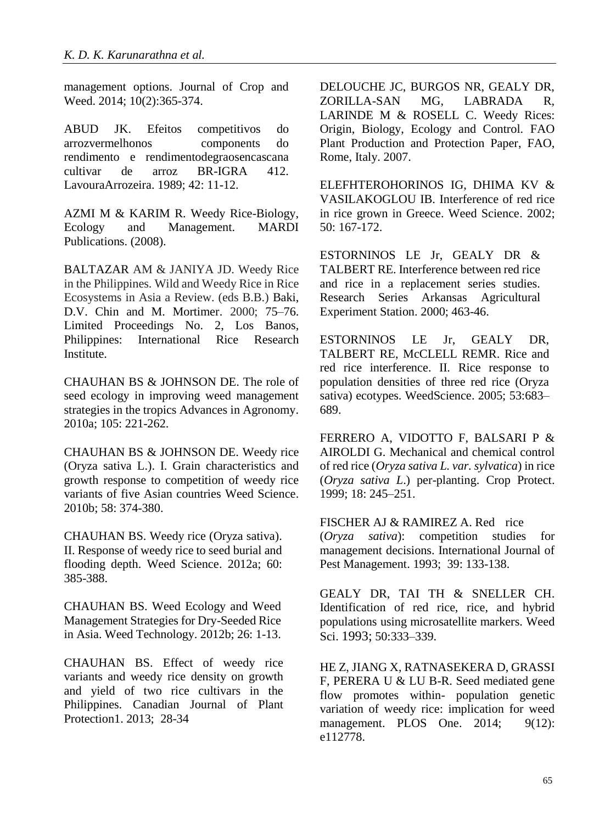management options. Journal of Crop and Weed. 2014; 10(2):365-374.

ABUD JK. Efeitos competitivos do arrozvermelhonos components do rendimento e rendimentodegraosencascana cultivar de arroz BR-IGRA 412. LavouraArrozeira. 1989; 42: 11-12.

AZMI M & KARIM R. Weedy Rice-Biology, Ecology and Management. MARDI Publications. (2008).

BALTAZAR AM & JANIYA JD. Weedy Rice in the Philippines. Wild and Weedy Rice in Rice Ecosystems in Asia a Review. (eds B.B.) Baki, D.V. Chin and M. Mortimer. 2000; 75–76. Limited Proceedings No. 2, Los Banos, Philippines: International Rice Research Institute.

CHAUHAN BS & JOHNSON DE. The role of seed ecology in improving weed management strategies in the tropics Advances in Agronomy. 2010a; 105: 221-262.

CHAUHAN BS & JOHNSON DE. Weedy rice (Oryza sativa L.). I. Grain characteristics and growth response to competition of weedy rice variants of five Asian countries Weed Science. 2010b; 58: 374-380.

CHAUHAN BS. Weedy rice (Oryza sativa). II. Response of weedy rice to seed burial and flooding depth. Weed Science. 2012a; 60: 385-388.

CHAUHAN BS. Weed Ecology and Weed Management Strategies for Dry-Seeded Rice in Asia. Weed Technology. 2012b; 26: 1-13.

CHAUHAN BS. Effect of weedy rice variants and weedy rice density on growth and yield of two rice cultivars in the Philippines. Canadian Journal of Plant Protection1. 2013; 28-34

DELOUCHE JC, BURGOS NR, GEALY DR, ZORILLA-SAN MG, LABRADA R, LARINDE M & ROSELL C. Weedy Rices: Origin, Biology, Ecology and Control. FAO Plant Production and Protection Paper, FAO, Rome, Italy. 2007.

ELEFHTEROHORINOS IG, DHIMA KV & VASILAKOGLOU IB. Interference of red rice in rice grown in Greece. Weed Science. 2002; 50: 167-172.

ESTORNINOS LE Jr, GEALY DR & TALBERT RE. Interference between red rice and rice in a replacement series studies. Research Series Arkansas Agricultural Experiment Station. 2000; 463-46.

ESTORNINOS LE Jr, GEALY DR, TALBERT RE, McCLELL REMR. Rice and red rice interference. II. Rice response to population densities of three red rice (Oryza sativa) ecotypes. WeedScience. 2005; 53:683– 689.

FERRERO A, VIDOTTO F, BALSARI P & AIROLDI G. Mechanical and chemical control of red rice (*Oryza sativa L. var. sylvatica*) in rice (*Oryza sativa L*.) per-planting. Crop Protect. 1999; 18: 245–251.

FISCHER AJ & RAMIREZ A. Red rice (*Oryza sativa*): competition studies for management decisions. International Journal of Pest Management. 1993; 39: 133-138.

GEALY DR, TAI TH & SNELLER CH. Identification of red rice, rice, and hybrid populations using microsatellite markers. Weed Sci. 1993; 50:333–339.

HE Z, JIANG X, RATNASEKERA D, GRASSI F, PERERA U & LU B-R. Seed mediated gene flow promotes within- population genetic variation of weedy rice: implication for weed management. PLOS One. 2014; 9(12): e112778.